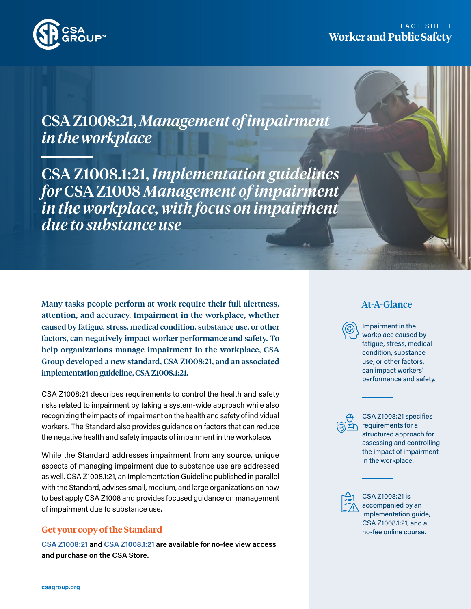

# FACT SHEET **Worker and Public Safety**

CSA Z1008:21, *Management of impairment in the workplace*

CSA Z1008.1:21, *Implementation guidelines for* CSA Z1008 *Management of impairment in the workplace, with focus on impairment due to substance use*

Many tasks people perform at work require their full alertness, attention, and accuracy. Impairment in the workplace, whether caused by fatigue, stress, medical condition, substance use, or other factors, can negatively impact worker performance and safety. To help organizations manage impairment in the workplace, CSA Group developed a new standard, CSA Z1008:21, and an associated implementation guideline, CSA Z1008.1:21.

CSA Z1008:21 describes requirements to control the health and safety risks related to impairment by taking a system-wide approach while also recognizing the impacts of impairment on the health and safety of individual workers. The Standard also provides guidance on factors that can reduce the negative health and safety impacts of impairment in the workplace.

While the Standard addresses impairment from any source, unique aspects of managing impairment due to substance use are addressed as well. CSA Z1008.1:21, an Implementation Guideline published in parallel with the Standard, advises small, medium, and large organizations on how to best apply CSA Z1008 and provides focused guidance on management of impairment due to substance use.

#### **Get your copy of the Standard**

**[CSA Z1008:21](https://www.csagroup.org/store/product/CSA%20Z1008%3A21/?utm_medium=flyer&utm_source=stakeholder&utm_campaign=Z1008:21_PDF%20Flyer_04232021) and [CSA Z1008.1:21](https://www.csagroup.org/store/product/CSA%20Z1008.1%3A21/?utm_medium=flyer&utm_source=stakeholder&utm_campaign=Z1008:21_PDF%20Flyer_04232021) are available for no-fee view access and purchase on the CSA Store.**

## At-A-Glance

Impairment in the workplace caused by fatigue, stress, medical condition, substance use, or other factors, can impact workers' performance and safety.

CSA Z1008:21 specifies requirements for a structured approach for assessing and controlling the impact of impairment in the workplace.

CSA Z1008:21 is accompanied by an implementation guide, CSA Z1008.1:21, and a no-fee online course.